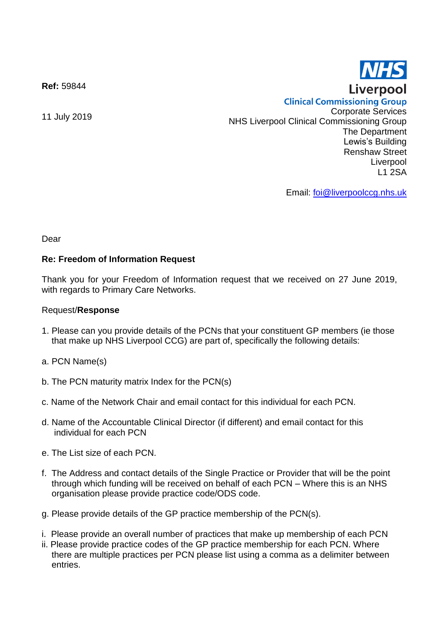**Ref:** 59844

**Clinical Commissioning Group** 11 July 2019 Corporate Services NHS Liverpool Clinical Commissioning Group The Department Lewis's Building Renshaw Street Liverpool L1 2SA

Email: [foi@liverpoolccg.nhs.uk](mailto:foi@liverpoolccg.nhs.uk)

Dear

## **Re: Freedom of Information Request**

Thank you for your Freedom of Information request that we received on 27 June 2019, with regards to Primary Care Networks.

## Request/**Response**

- 1. Please can you provide details of the PCNs that your constituent GP members (ie those that make up NHS Liverpool CCG) are part of, specifically the following details:
- a. PCN Name(s)
- b. The PCN maturity matrix Index for the PCN(s)
- c. Name of the Network Chair and email contact for this individual for each PCN.
- d. Name of the Accountable Clinical Director (if different) and email contact for this individual for each PCN
- e. The List size of each PCN.
- f. The Address and contact details of the Single Practice or Provider that will be the point through which funding will be received on behalf of each PCN – Where this is an NHS organisation please provide practice code/ODS code.
- g. Please provide details of the GP practice membership of the PCN(s).
- i. Please provide an overall number of practices that make up membership of each PCN
- ii. Please provide practice codes of the GP practice membership for each PCN. Where there are multiple practices per PCN please list using a comma as a delimiter between entries.